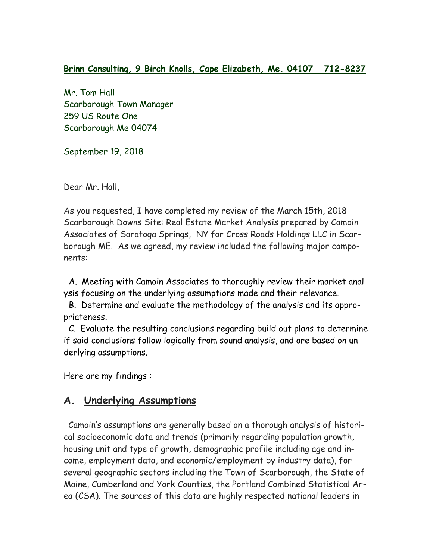## **Brinn Consulting, 9 Birch Knolls, Cape Elizabeth, Me. 04107 712-8237**

Mr. Tom Hall Scarborough Town Manager 259 US Route One Scarborough Me 04074

September 19, 2018

Dear Mr. Hall,

As you requested, I have completed my review of the March 15th, 2018 Scarborough Downs Site: Real Estate Market Analysis prepared by Camoin Associates of Saratoga Springs, NY for Cross Roads Holdings LLC in Scarborough ME. As we agreed, my review included the following major components:

 A. Meeting with Camoin Associates to thoroughly review their market analysis focusing on the underlying assumptions made and their relevance.

 B. Determine and evaluate the methodology of the analysis and its appropriateness.

 C. Evaluate the resulting conclusions regarding build out plans to determine if said conclusions follow logically from sound analysis, and are based on underlying assumptions.

Here are my findings :

## **A. Underlying Assumptions**

Camoin's assumptions are generally based on a thorough analysis of historical socioeconomic data and trends (primarily regarding population growth, housing unit and type of growth, demographic profile including age and income, employment data, and economic/employment by industry data), for several geographic sectors including the Town of Scarborough, the State of Maine, Cumberland and York Counties, the Portland Combined Statistical Area (CSA). The sources of this data are highly respected national leaders in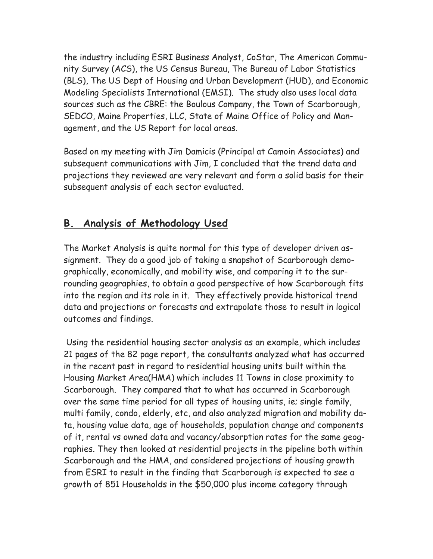the industry including ESRI Business Analyst, CoStar, The American Community Survey (ACS), the US Census Bureau, The Bureau of Labor Statistics (BLS), The US Dept of Housing and Urban Development (HUD), and Economic Modeling Specialists International (EMSI). The study also uses local data sources such as the CBRE: the Boulous Company, the Town of Scarborough, SEDCO, Maine Properties, LLC, State of Maine Office of Policy and Management, and the US Report for local areas.

Based on my meeting with Jim Damicis (Principal at Camoin Associates) and subsequent communications with Jim, I concluded that the trend data and projections they reviewed are very relevant and form a solid basis for their subsequent analysis of each sector evaluated.

## **B. Analysis of Methodology Used**

The Market Analysis is quite normal for this type of developer driven assignment. They do a good job of taking a snapshot of Scarborough demographically, economically, and mobility wise, and comparing it to the surrounding geographies, to obtain a good perspective of how Scarborough fits into the region and its role in it. They effectively provide historical trend data and projections or forecasts and extrapolate those to result in logical outcomes and findings.

Using the residential housing sector analysis as an example, which includes 21 pages of the 82 page report, the consultants analyzed what has occurred in the recent past in regard to residential housing units built within the Housing Market Area(HMA) which includes 11 Towns in close proximity to Scarborough. They compared that to what has occurred in Scarborough over the same time period for all types of housing units, ie; single family, multi family, condo, elderly, etc, and also analyzed migration and mobility data, housing value data, age of households, population change and components of it, rental vs owned data and vacancy/absorption rates for the same geographies. They then looked at residential projects in the pipeline both within Scarborough and the HMA, and considered projections of housing growth from ESRI to result in the finding that Scarborough is expected to see a growth of 851 Households in the \$50,000 plus income category through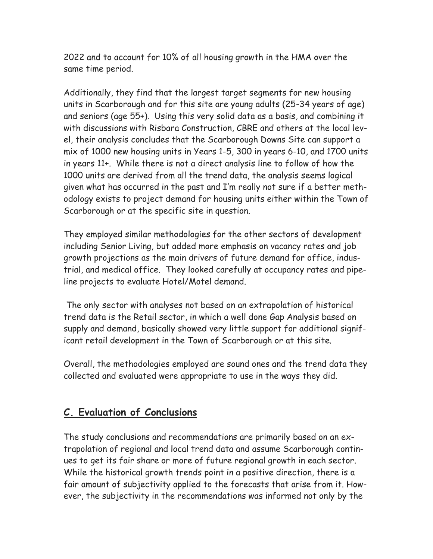2022 and to account for 10% of all housing growth in the HMA over the same time period.

Additionally, they find that the largest target segments for new housing units in Scarborough and for this site are young adults (25-34 years of age) and seniors (age 55+). Using this very solid data as a basis, and combining it with discussions with Risbara Construction, CBRE and others at the local level, their analysis concludes that the Scarborough Downs Site can support a mix of 1000 new housing units in Years 1-5, 300 in years 6-10, and 1700 units in years 11+. While there is not a direct analysis line to follow of how the 1000 units are derived from all the trend data, the analysis seems logical given what has occurred in the past and I'm really not sure if a better methodology exists to project demand for housing units either within the Town of Scarborough or at the specific site in question.

They employed similar methodologies for the other sectors of development including Senior Living, but added more emphasis on vacancy rates and job growth projections as the main drivers of future demand for office, industrial, and medical office. They looked carefully at occupancy rates and pipeline projects to evaluate Hotel/Motel demand.

The only sector with analyses not based on an extrapolation of historical trend data is the Retail sector, in which a well done Gap Analysis based on supply and demand, basically showed very little support for additional significant retail development in the Town of Scarborough or at this site.

Overall, the methodologies employed are sound ones and the trend data they collected and evaluated were appropriate to use in the ways they did.

## **C. Evaluation of Conclusions**

The study conclusions and recommendations are primarily based on an extrapolation of regional and local trend data and assume Scarborough continues to get its fair share or more of future regional growth in each sector. While the historical growth trends point in a positive direction, there is a fair amount of subjectivity applied to the forecasts that arise from it. However, the subjectivity in the recommendations was informed not only by the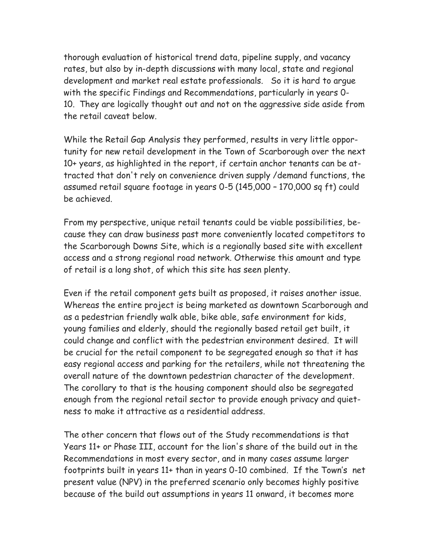thorough evaluation of historical trend data, pipeline supply, and vacancy rates, but also by in-depth discussions with many local, state and regional development and market real estate professionals. So it is hard to argue with the specific Findings and Recommendations, particularly in years 0- 10. They are logically thought out and not on the aggressive side aside from the retail caveat below.

While the Retail Gap Analysis they performed, results in very little opportunity for new retail development in the Town of Scarborough over the next 10+ years, as highlighted in the report, if certain anchor tenants can be attracted that don't rely on convenience driven supply /demand functions, the assumed retail square footage in years 0-5 (145,000 – 170,000 sq ft) could be achieved.

From my perspective, unique retail tenants could be viable possibilities, because they can draw business past more conveniently located competitors to the Scarborough Downs Site, which is a regionally based site with excellent access and a strong regional road network. Otherwise this amount and type of retail is a long shot, of which this site has seen plenty.

Even if the retail component gets built as proposed, it raises another issue. Whereas the entire project is being marketed as downtown Scarborough and as a pedestrian friendly walk able, bike able, safe environment for kids, young families and elderly, should the regionally based retail get built, it could change and conflict with the pedestrian environment desired. It will be crucial for the retail component to be segregated enough so that it has easy regional access and parking for the retailers, while not threatening the overall nature of the downtown pedestrian character of the development. The corollary to that is the housing component should also be segregated enough from the regional retail sector to provide enough privacy and quietness to make it attractive as a residential address.

The other concern that flows out of the Study recommendations is that Years 11+ or Phase III, account for the lion's share of the build out in the Recommendations in most every sector, and in many cases assume larger footprints built in years 11+ than in years 0-10 combined. If the Town's net present value (NPV) in the preferred scenario only becomes highly positive because of the build out assumptions in years 11 onward, it becomes more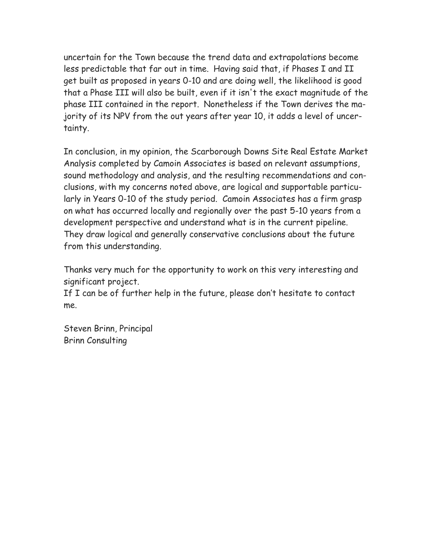uncertain for the Town because the trend data and extrapolations become less predictable that far out in time. Having said that, if Phases I and II get built as proposed in years 0-10 and are doing well, the likelihood is good that a Phase III will also be built, even if it isn't the exact magnitude of the phase III contained in the report. Nonetheless if the Town derives the majority of its NPV from the out years after year 10, it adds a level of uncertainty.

In conclusion, in my opinion, the Scarborough Downs Site Real Estate Market Analysis completed by Camoin Associates is based on relevant assumptions, sound methodology and analysis, and the resulting recommendations and conclusions, with my concerns noted above, are logical and supportable particularly in Years 0-10 of the study period. Camoin Associates has a firm grasp on what has occurred locally and regionally over the past 5-10 years from a development perspective and understand what is in the current pipeline. They draw logical and generally conservative conclusions about the future from this understanding.

Thanks very much for the opportunity to work on this very interesting and significant project.

If I can be of further help in the future, please don't hesitate to contact me.

Steven Brinn, Principal Brinn Consulting